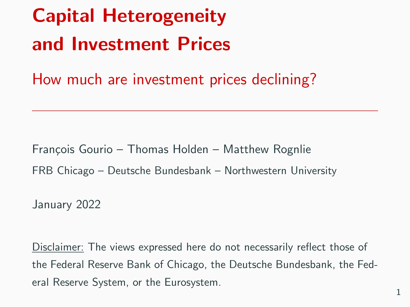# Capital Heterogeneity and Investment Prices

How much are investment prices declining?

François Gourio – Thomas Holden – Matthew Rognlie FRB Chicago – Deutsche Bundesbank – Northwestern University

January 2022

Disclaimer: The views expressed here do not necessarily reflect those of the Federal Reserve Bank of Chicago, the Deutsche Bundesbank, the Federal Reserve System, or the Eurosystem.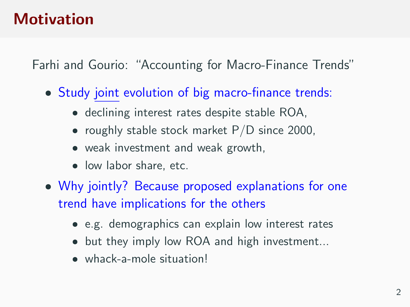## **Motivation**

Farhi and Gourio: "Accounting for Macro-Finance Trends"

- Study joint evolution of big macro-finance trends:
	- declining interest rates despite stable ROA,
	- roughly stable stock market  $P/D$  since 2000,
	- weak investment and weak growth,
	- **.** low labor share, etc.
- Why jointly? Because proposed explanations for one trend have implications for the others
	- e.g. demographics can explain low interest rates
	- but they imply low ROA and high investment...
	- whack-a-mole situation!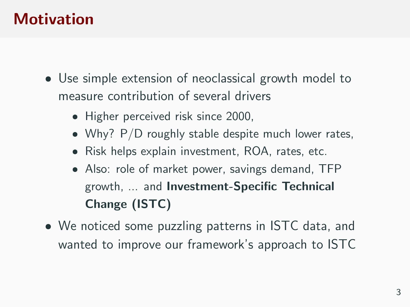# **Motivation**

- Use simple extension of neoclassical growth model to measure contribution of several drivers
	- Higher perceived risk since 2000,
	- Why? P/D roughly stable despite much lower rates,
	- Risk helps explain investment, ROA, rates, etc.
	- Also: role of market power, savings demand, TFP growth, ... and Investment-Specific Technical Change (ISTC)
- We noticed some puzzling patterns in ISTC data, and wanted to improve our framework's approach to ISTC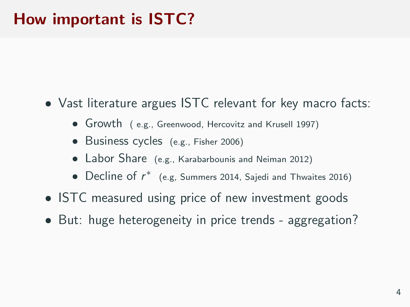# How important is ISTC?

- Vast literature argues ISTC relevant for key macro facts:
	- Growth ( e.g., Greenwood, Hercovitz and Krusell 1997)
	- **Business cycles** (e.g., Fisher 2006)
	- Labor Share (e.g., Karabarbounis and Neiman 2012)
	- Decline of  $r^*$  (e.g, Summers 2014, Sajedi and Thwaites 2016)
- **ISTC** measured using price of new investment goods
- But: huge heterogeneity in price trends aggregation?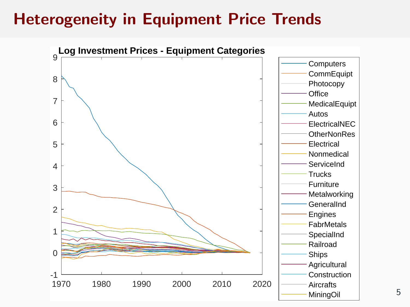# Heterogeneity in Equipment Price Trends

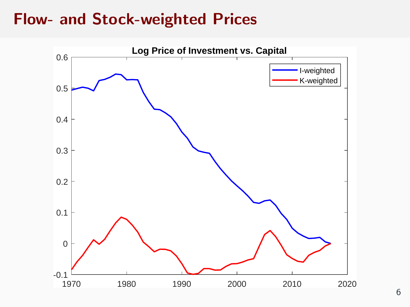#### Flow- and Stock-weighted Prices

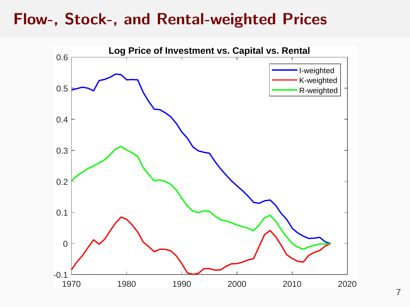#### Flow-, Stock-, and Rental-weighted Prices

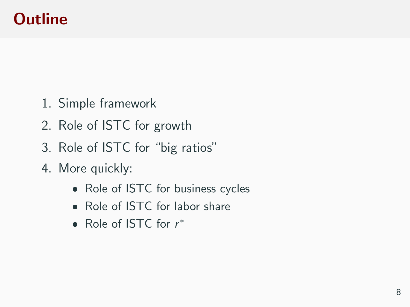# **Outline**

- 1. Simple framework
- 2. Role of ISTC for growth
- 3. Role of ISTC for "big ratios"
- 4. More quickly:
	- Role of ISTC for business cycles
	- Role of ISTC for labor share
	- Role of ISTC for  $r^*$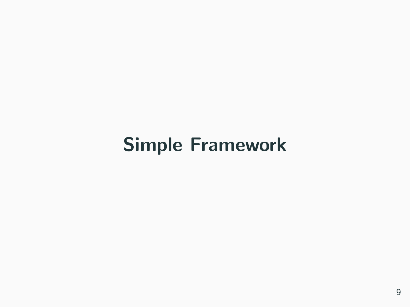# Simple Framework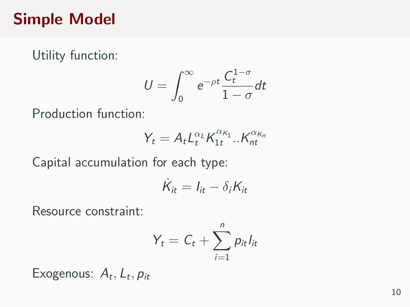### Simple Model

Utility function:

$$
U=\int_0^\infty e^{-\rho t}\frac{C_t^{1-\sigma}}{1-\sigma}dt
$$

Production function:

$$
Y_t = A_t L_t^{\alpha_L} K_{1t}^{\alpha_{K_1}} .. K_{nt}^{\alpha_{K_n}}
$$

Capital accumulation for each type:

$$
\dot{K}_{it} = I_{it} - \delta_i K_{it}
$$

Resource constraint:

$$
Y_t = C_t + \sum_{i=1}^n p_{it} l_{it}
$$

Exogenous:  $A_t$ ,  $L_t$ ,  $p_{it}$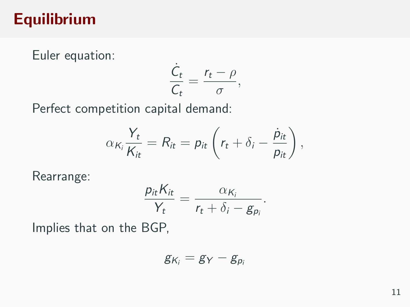# Equilibrium

Euler equation:

$$
\frac{\dot{C}_t}{C_t} = \frac{r_t - \rho}{\sigma},
$$

Perfect competition capital demand:

$$
\alpha_{K_i}\frac{Y_t}{K_{it}}=R_{it}=p_{it}\left(r_t+\delta_i-\frac{\dot{p}_{it}}{p_{it}}\right),
$$

Rearrange:

$$
\frac{p_{it}K_{it}}{Y_t}=\frac{\alpha_{K_i}}{r_t+\delta_i-g_{p_i}}.
$$

Implies that on the BGP,

$$
g_{K_i}=g_Y-g_{p_i}
$$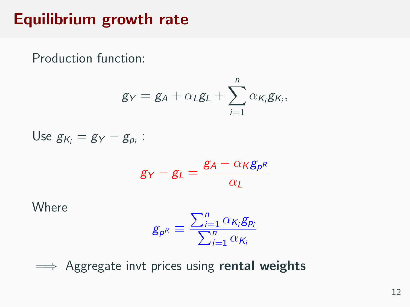# Equilibrium growth rate

Production function:

$$
g_Y = g_A + \alpha_L g_L + \sum_{i=1}^n \alpha_{K_i} g_{K_i},
$$

Use 
$$
g_{K_i} = g_Y - g_{p_i}
$$
:

$$
g_Y - g_L = \frac{g_A - \alpha_K g_{p^R}}{\alpha_L}
$$

**Where** 

$$
g_{p^R} \equiv \frac{\sum_{i=1}^n \alpha_{K_i} g_{p_i}}{\sum_{i=1}^n \alpha_{K_i}}
$$

 $\implies$  Aggregate invt prices using rental weights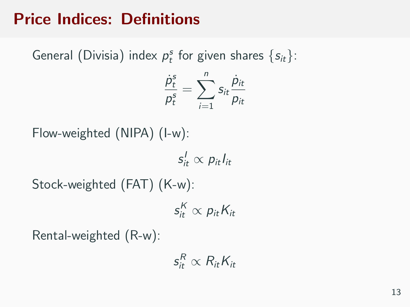# Price Indices: Definitions

General (Divisia) index  $p_t^s$  for given shares  $\{s_{it}\}$ :

$$
\frac{\dot{p}_t^s}{p_t^s} = \sum_{i=1}^n s_{it} \frac{\dot{p}_{it}}{p_{it}}
$$

Flow-weighted (NIPA) (I-w):

 $s_{it}^{\prime} \propto p_{it} l_{it}$ 

Stock-weighted (FAT) (K-w):

 $s_{it}^{\mathcal{K}} \propto p_{it} K_{it}$ 

Rental-weighted (R-w):

 $\mathsf{s}_{\mathsf{it}}^{\mathsf{R}} \propto \mathsf{R}_{\mathsf{it}} \mathsf{K}_{\mathsf{it}}$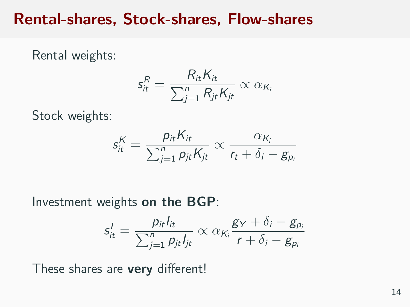#### Rental-shares, Stock-shares, Flow-shares

Rental weights:

$$
s_{it}^R = \frac{R_{it} K_{it}}{\sum_{j=1}^n R_{jt} K_{jt}} \propto \alpha_{K_i}
$$

Stock weights:

$$
s_{it}^K = \frac{p_{it}K_{it}}{\sum_{j=1}^n p_{jt}K_{jt}} \propto \frac{\alpha_{K_i}}{r_t + \delta_i - g_{p_i}}
$$

Investment weights on the BGP:

$$
s'_{it} = \frac{p_{it} l_{it}}{\sum_{j=1}^n p_{jt} l_{jt}} \propto \alpha_{K_i} \frac{g_Y + \delta_i - g_{p_i}}{r + \delta_i - g_{p_i}}
$$

These shares are very different!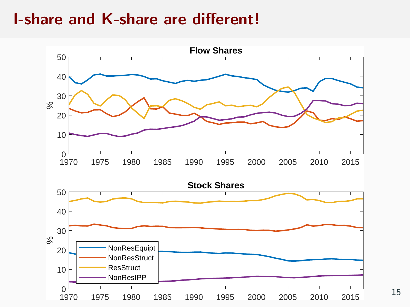#### I-share and K-share are different!



15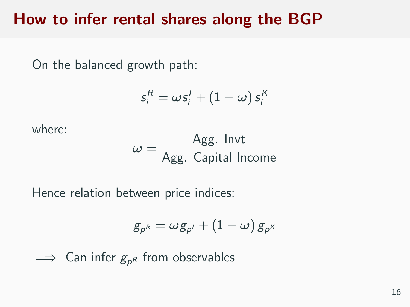#### How to infer rental shares along the BGP

On the balanced growth path:

$$
s_i^R = \omega s_i^I + (1 - \omega) s_i^K
$$

where:

$$
\omega = \frac{\text{Agg. Invt}}{\text{Agg. Capital Income}}
$$

Hence relation between price indices:

$$
\,g_{\rho^R}=\omega g_{\rho'}+(1-\omega)\,g_{\rho^K}
$$

 $\implies$  Can infer  $g_{\rho^R}$  from observables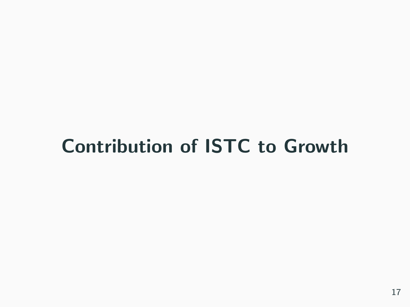# Contribution of ISTC to Growth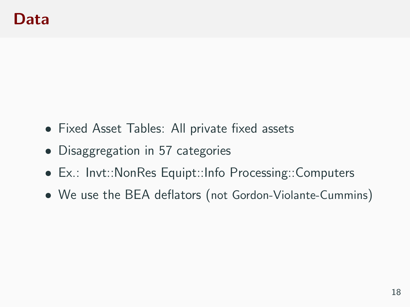- Fixed Asset Tables: All private fixed assets
- Disaggregation in 57 categories
- Ex.: Invt::NonRes Equipt::Info Processing::Computers
- We use the BEA deflators (not Gordon-Violante-Cummins)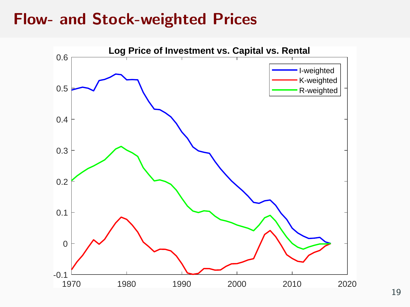#### Flow- and Stock-weighted Prices

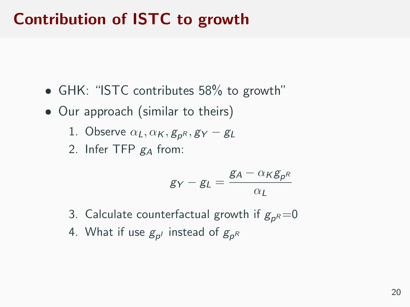# Contribution of ISTC to growth

- GHK: "ISTC contributes 58% to growth"
- Our approach (similar to theirs)
	- 1. Observe  $\alpha_L, \alpha_K, g_{\rho^R}, g_Y-g_L$
	- 2. Infer TFP  $g_A$  from:

$$
g_Y - g_L = \frac{g_A - \alpha_K g_{p^R}}{\alpha_L}
$$

- 3. Calculate counterfactual growth if  $g_{\rho^R}\!\!=\!\!0$
- 4. What if use  $g_{\rho'}$  instead of  $g_{\rho^R}$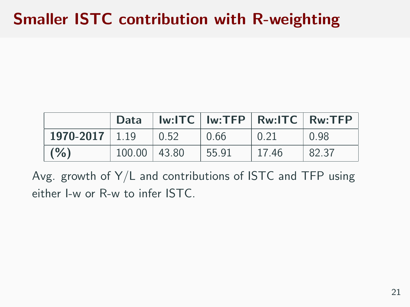# Smaller ISTC contribution with R-weighting

|                  | Data             |            |       |       | $Iw:ITC$   $Iw:TFP$   $Rw:ITC$   $Rw:TFP$ |
|------------------|------------------|------------|-------|-------|-------------------------------------------|
| $1970-2017$ 1.19 |                  | $\pm 0.52$ | 0.66  | 0.21  | 0.98                                      |
| (% )             | $100.00$   43.80 |            | 55.91 | 17.46 | 82.37                                     |

Avg. growth of Y/L and contributions of ISTC and TFP using either I-w or R-w to infer ISTC.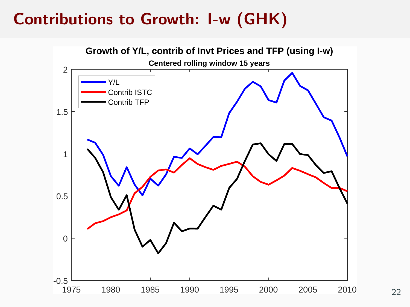# Contributions to Growth: I-w (GHK)



22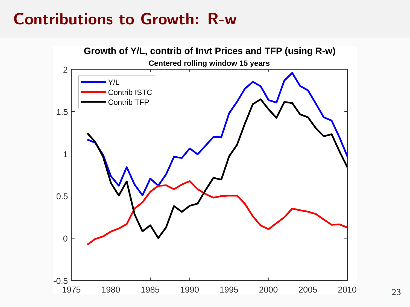### Contributions to Growth: R-w

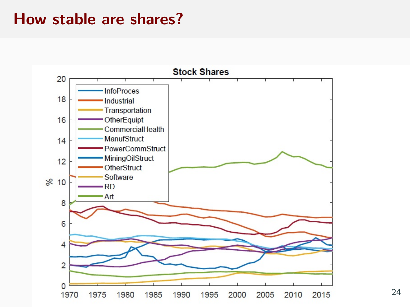#### How stable are shares?



24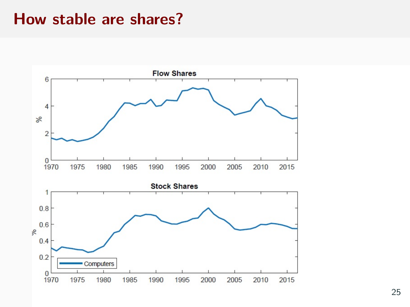#### How stable are shares?

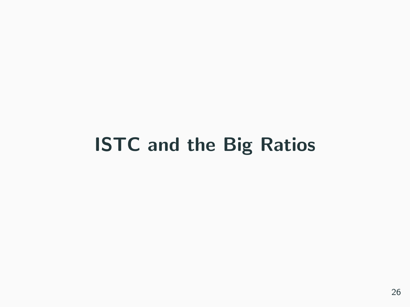# ISTC and the Big Ratios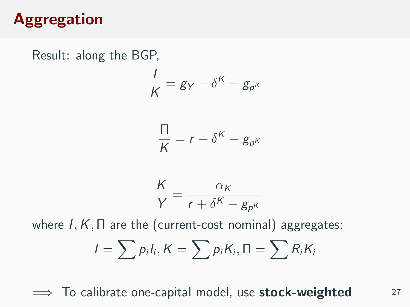# Aggregation

Result: along the BGP,

$$
\frac{1}{K} = g_Y + \delta^K - g_{p^K}
$$

$$
\frac{\Pi}{\sigma} = r + \delta^K - g_{\nu} g_{\nu}
$$

$$
\frac{\Pi}{K} = r + \delta^K - g_{p^K}
$$

$$
\frac{K}{Y} = \frac{\alpha_K}{r + \delta^K - g_{p^K}}
$$

where  $I, K, \Pi$  are the (current-cost nominal) aggregates:

$$
I=\sum p_iI_i, K=\sum p_iK_i, \Pi=\sum R_iK_i
$$

 $\implies$  To calibrate one-capital model, use **stock-weighted** 27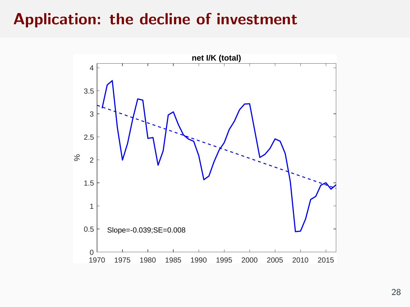### Application: the decline of investment

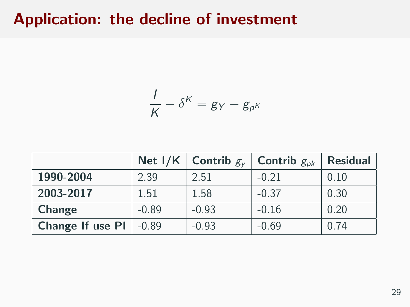### Application: the decline of investment

$$
\frac{1}{K} - \delta^K = g_Y - g_{p^K}
$$

|                          |         | Net I/K Contrib $g_v$ | Contrib $g_{\rho k}$ | <b>Residual</b> |
|--------------------------|---------|-----------------------|----------------------|-----------------|
| 1990-2004                | 2.39    | 2.51                  | $-0.21$              | 0.10            |
| 2003-2017                | 1.51    | 1.58                  | $-0.37$              | 0.30            |
| Change                   | $-0.89$ | $-0.93$               | $-0.16$              | 0.20            |
| Change If use PI   -0.89 |         | $-0.93$               | $-0.69$              | 0.74            |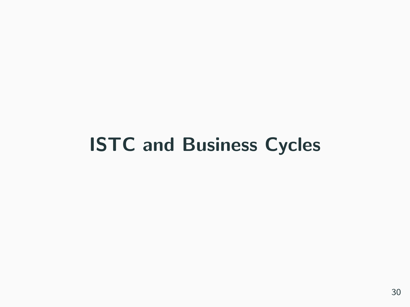# ISTC and Business Cycles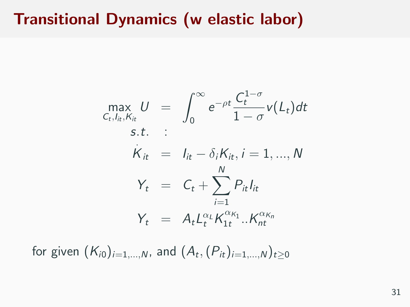# Transitional Dynamics (w elastic labor)

$$
\max_{C_t, l_{it}, K_{it}} U = \int_0^\infty e^{-\rho t} \frac{C_t^{1-\sigma}}{1-\sigma} v(L_t) dt
$$
  
s.t. :  

$$
\dot{K}_{it} = I_{it} - \delta_i K_{it}, i = 1, ..., N
$$
  

$$
Y_t = C_t + \sum_{i=1}^N P_{it} I_{it}
$$
  

$$
Y_t = A_t L_t^{\alpha_t} K_{1t}^{\alpha_{K_1}}... K_{nt}^{\alpha_{K_n}}
$$

for given  $(\mathcal{K}_{i0})_{i=1,...,N}$ , and  $(\mathcal{A}_t,(\mathcal{P}_{it})_{i=1,...,N})_{t\geq 0}$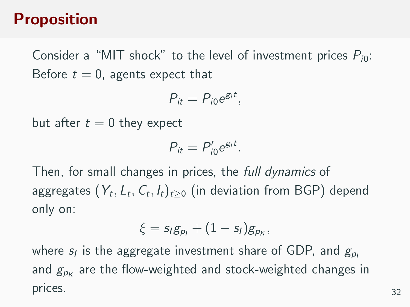# Proposition

Consider a "MIT shock" to the level of investment prices  $P_{i0}$ : Before  $t = 0$ , agents expect that

$$
P_{it}=P_{i0}e^{g_i t},
$$

but after  $t = 0$  they expect

$$
P_{it}=P'_{i0}e^{g_i t}.
$$

Then, for small changes in prices, the full dynamics of aggregates  $(Y_t, \mathcal{L}_t, \mathcal{C}_t, I_t)_{t\geq 0}$  (in deviation from BGP) depend only on:

$$
\xi = s_l g_{p_l} + (1-s_l) g_{p_K},
$$

where  $s_l$  is the aggregate investment share of GDP, and  $g_{\rho_l}$ and  $g_{\rho\kappa}$  are the flow-weighted and stock-weighted changes in prices. 32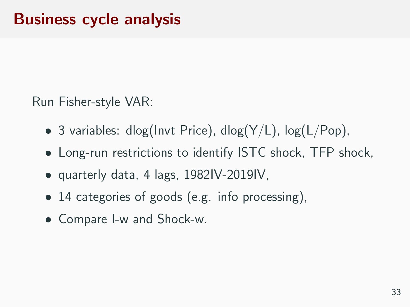Run Fisher-style VAR:

- 3 variables: dlog(Invt Price), dlog( $Y/L$ ), log( $L/Pop$ ),
- Long-run restrictions to identify ISTC shock, TFP shock,
- quarterly data, 4 lags, 1982IV-2019IV,
- 14 categories of goods (e.g. info processing),
- Compare I-w and Shock-w.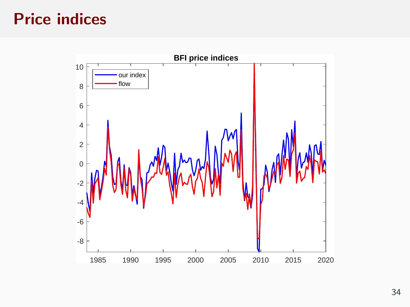# Price indices

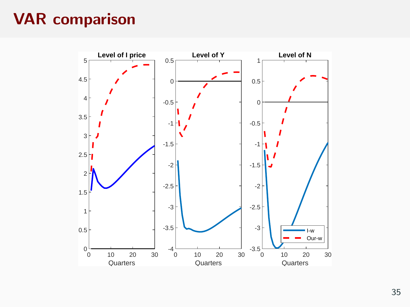# VAR comparison

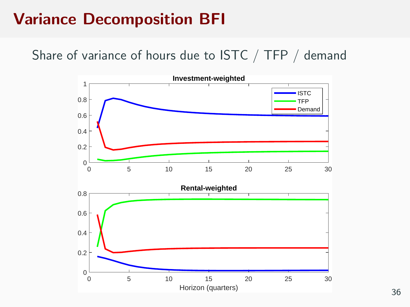# Variance Decomposition BFI

Share of variance of hours due to ISTC / TFP / demand

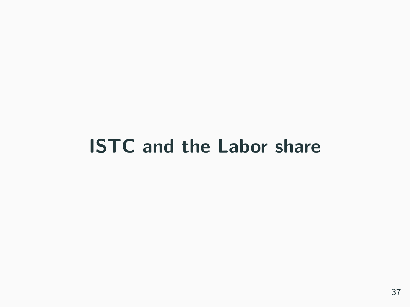# ISTC and the Labor share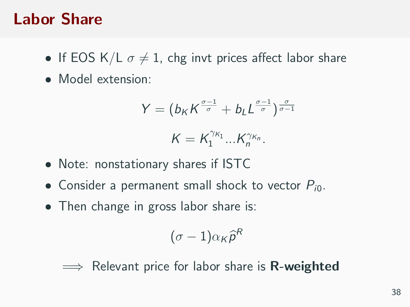#### Labor Share

- If EOS K/L  $\sigma \neq 1$ , chg invt prices affect labor share
- Model extension:

$$
Y = (b_K K^{\frac{\sigma-1}{\sigma}} + b_L L^{\frac{\sigma-1}{\sigma}})^{\frac{\sigma}{\sigma-1}}
$$

$$
K = K_1^{\gamma_{K_1}} ... K_n^{\gamma_{K_n}}
$$

- Note: nonstationary shares if ISTC
- Consider a permanent small shock to vector  $P_{i0}$ .
- Then change in gross labor share is:

$$
(\sigma-1)\alpha_K\widehat{p}^R
$$

 $\implies$  Relevant price for labor share is **R-weighted**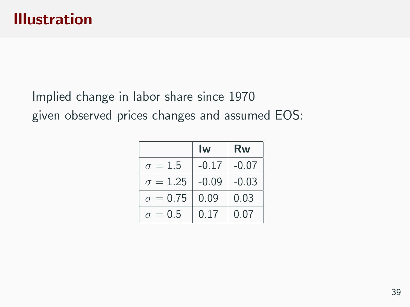Implied change in labor share since 1970 given observed prices changes and assumed EOS:

|                 | Iw      | Rw      |  |
|-----------------|---------|---------|--|
| $\sigma = 1.5$  | $-0.17$ | $-0.07$ |  |
| $\sigma = 1.25$ | $-0.09$ | $-0.03$ |  |
| $\sigma = 0.75$ | 0.09    | 0.03    |  |
| $\sigma = 0.5$  | 0.17    | 0.07    |  |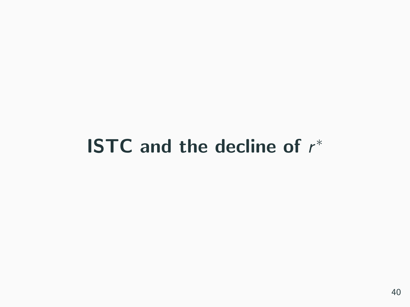# **ISTC** and the decline of  $r^*$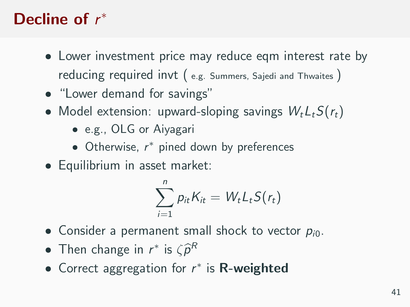# Decline of  $r^*$

- Lower investment price may reduce eqm interest rate by reducing required invt ( e.g. Summers, Sajedi and Thwaites )
- "Lower demand for savings"
- Model extension: upward-sloping savings  $W_t L_t S(r_t)$ 
	- e.g., OLG or Aiyagari
	- Otherwise, r <sup>∗</sup> pined down by preferences
- Equilibrium in asset market:

$$
\sum_{i=1}^n p_{it} K_{it} = W_t L_t S(r_t)
$$

- **Consider a permanent small shock to vector**  $p_{i0}$ **.**
- Then change in  $r^*$  is  $\zeta \hat{\rho}^R$
- Correct aggregation for  $r^*$  is R-weighted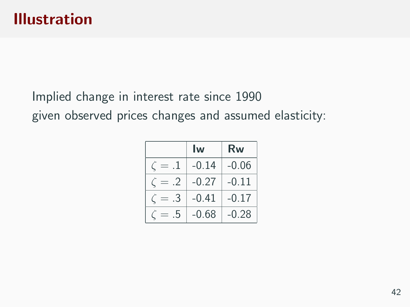Implied change in interest rate since 1990 given observed prices changes and assumed elasticity:

|            | Iw      | Rw      |  |
|------------|---------|---------|--|
|            | $-0.14$ | $-0.06$ |  |
| $\cdot$ .2 | $-0.27$ | $-0.11$ |  |
| .3         | $-0.41$ | $-0.17$ |  |
| .5         | $-0.68$ | $-0.28$ |  |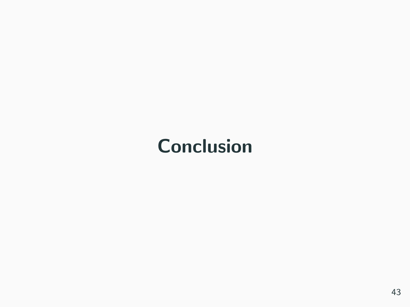# **Conclusion**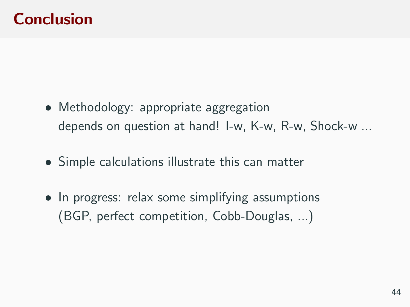# Conclusion

- Methodology: appropriate aggregation depends on question at hand! I-w, K-w, R-w, Shock-w ...
- Simple calculations illustrate this can matter
- In progress: relax some simplifying assumptions (BGP, perfect competition, Cobb-Douglas, ...)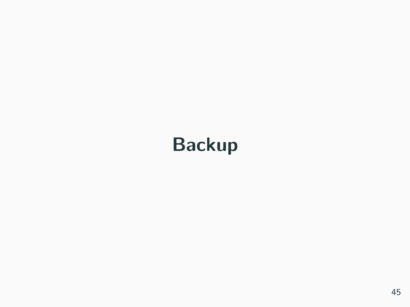# Backup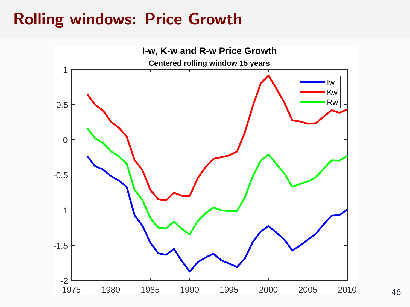#### Rolling windows: Price Growth

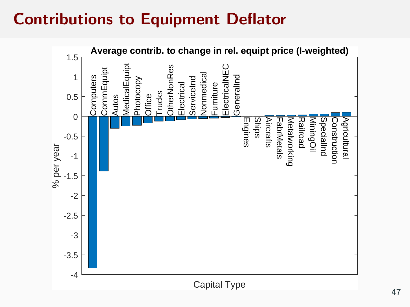# Contributions to Equipment Deflator

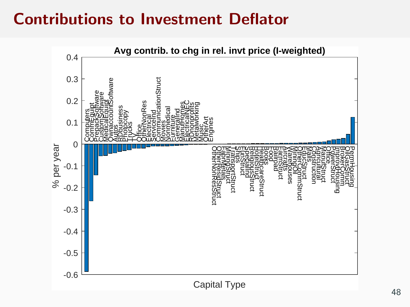#### Contributions to Investment Deflator

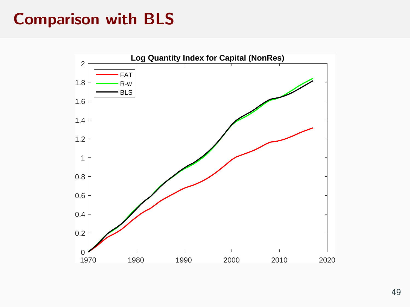# Comparison with BLS

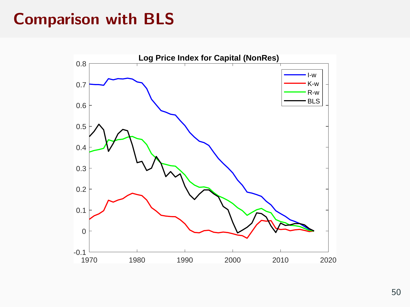#### Comparison with BLS

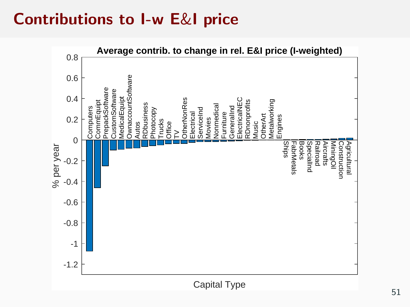## Contributions to I-w E&I price

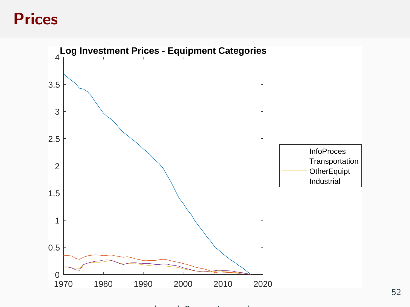#### **Prices**



Level 3- equipt only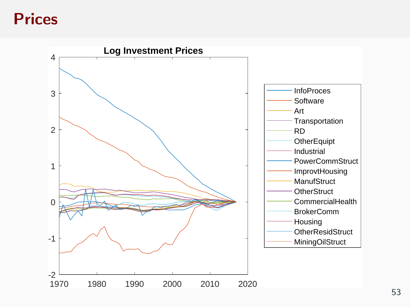#### **Prices**

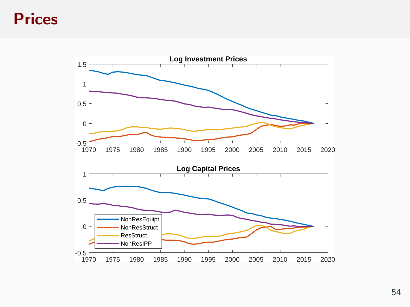#### **Prices**

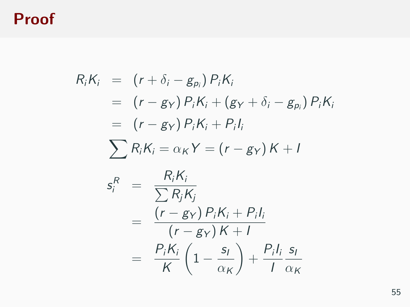### Proof

$$
R_i K_i = (r + \delta_i - g_{p_i}) P_i K_i
$$
  
\n
$$
= (r - g_Y) P_i K_i + (g_Y + \delta_i - g_{p_i}) P_i K_i
$$
  
\n
$$
= (r - g_Y) P_i K_i + P_i I_i
$$
  
\n
$$
\sum R_i K_i = \alpha_K Y = (r - g_Y) K + I
$$
  
\n
$$
s_i^R = \frac{R_i K_i}{\sum R_j K_j}
$$
  
\n
$$
= \frac{(r - g_Y) P_i K_i + P_i I_i}{(r - g_Y) K + I}
$$
  
\n
$$
= \frac{P_i K_i}{K} (1 - \frac{s_I}{\alpha_K}) + \frac{P_i I_i}{I} \frac{s_I}{\alpha_K}
$$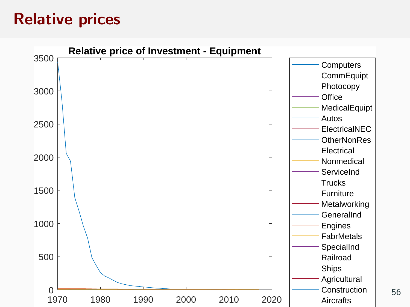### Relative prices

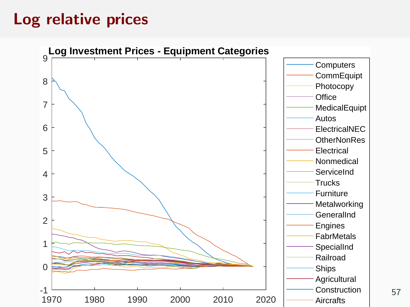# Log relative prices

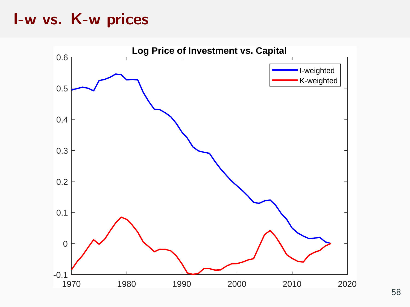#### I-w vs. K-w prices

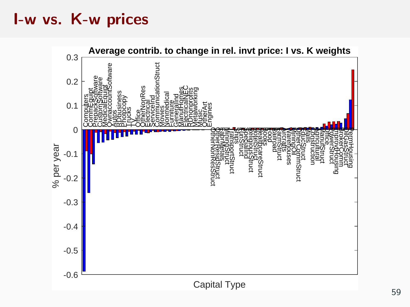#### I-w vs. K-w prices

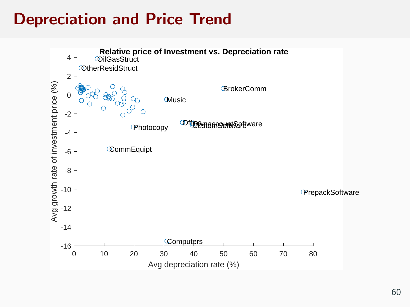# Depreciation and Price Trend

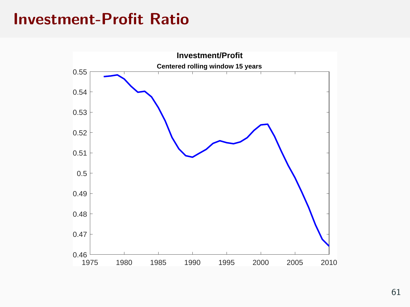#### Investment-Profit Ratio

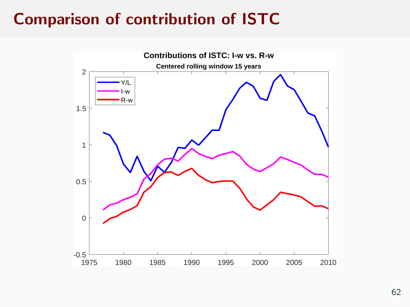# Comparison of contribution of ISTC

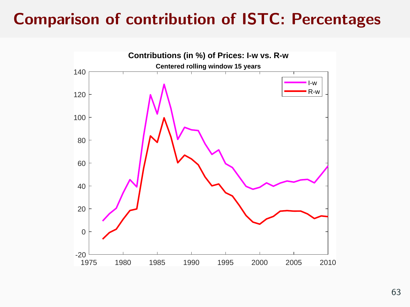# Comparison of contribution of ISTC: Percentages

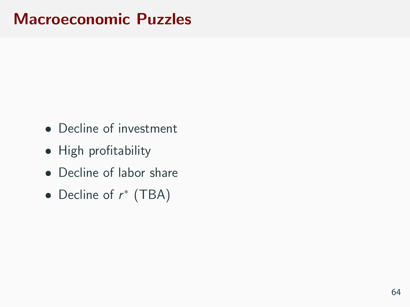#### Macroeconomic Puzzles

- Decline of investment
- High profitability
- Decline of labor share
- Decline of  $r^*$  (TBA)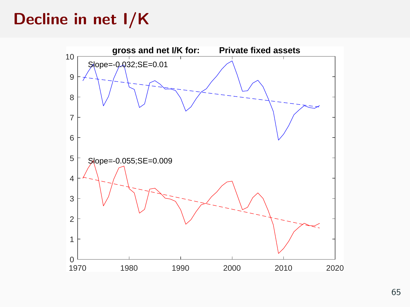# Decline in net I/K

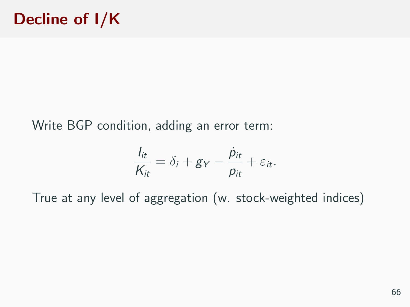Write BGP condition, adding an error term:

$$
\frac{I_{it}}{K_{it}} = \delta_i + g_Y - \frac{\dot{p}_{it}}{p_{it}} + \varepsilon_{it}.
$$

True at any level of aggregation (w. stock-weighted indices)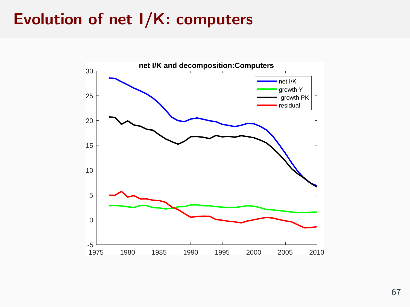## Evolution of net I/K: computers

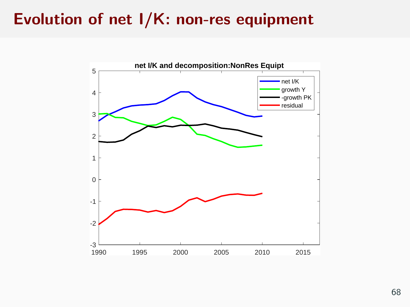### Evolution of net I/K: non-res equipment

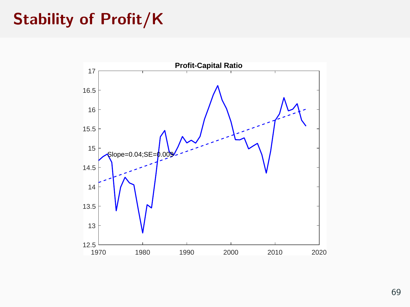### Stability of Profit/K

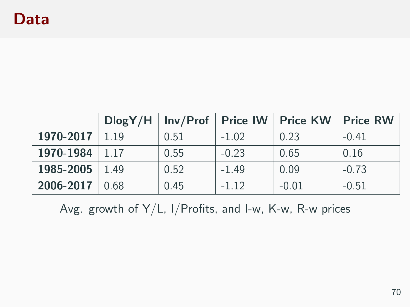|                    |      | $DlogY/H$   Inv/Prof | <b>Price IW</b> | <b>Price KW</b> | Price RW |
|--------------------|------|----------------------|-----------------|-----------------|----------|
| 1970-2017          | 1.19 | 0.51                 | $-1.02$         | 0.23            | $-0.41$  |
| 1970-1984          | 1.17 | 0.55                 | $-0.23$         | 0.65            | 0.16     |
| 1985-2005          | 1.49 | 0.52                 | $-1.49$         | 0.09            | $-0.73$  |
| $2006 - 2017$ 0.68 |      | 0.45                 | $-1.12$         | $-0.01$         | $-0.51$  |

Avg. growth of Y/L, I/Profits, and I-w, K-w, R-w prices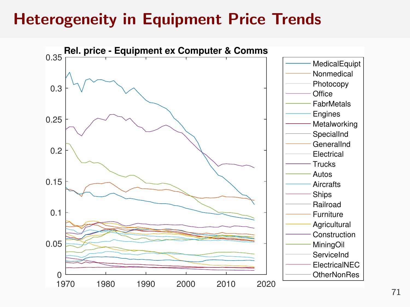# Heterogeneity in Equipment Price Trends

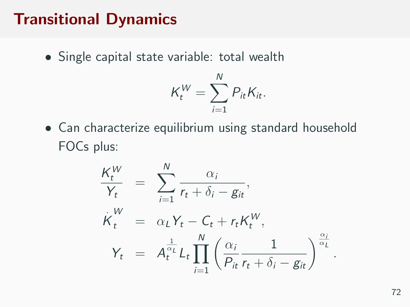#### Transitional Dynamics

Single capital state variable: total wealth

$$
K_t^W = \sum_{i=1}^N P_{it} K_{it}.
$$

 Can characterize equilibrium using standard household FOCs plus:

$$
\frac{K_t^W}{Y_t} = \sum_{i=1}^N \frac{\alpha_i}{r_t + \delta_i - g_{it}},
$$
\n
$$
\dot{K}_t^W = \alpha_L Y_t - C_t + r_t K_t^W,
$$
\n
$$
Y_t = A_t^{\frac{1}{\alpha_L}} L_t \prod_{i=1}^N \left( \frac{\alpha_i}{P_{it}} \frac{1}{r_t + \delta_i - g_{it}} \right)^{\frac{\alpha_i}{\alpha_L}}.
$$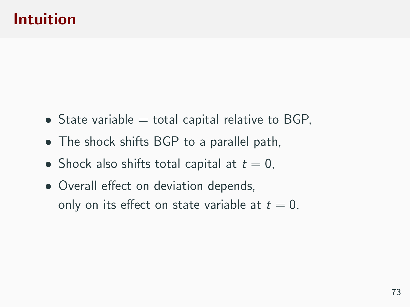## Intuition

- $\bullet$  State variable  $=$  total capital relative to BGP,
- The shock shifts BGP to a parallel path,
- Shock also shifts total capital at  $t = 0$ ,
- Overall effect on deviation depends, only on its effect on state variable at  $t = 0$ .